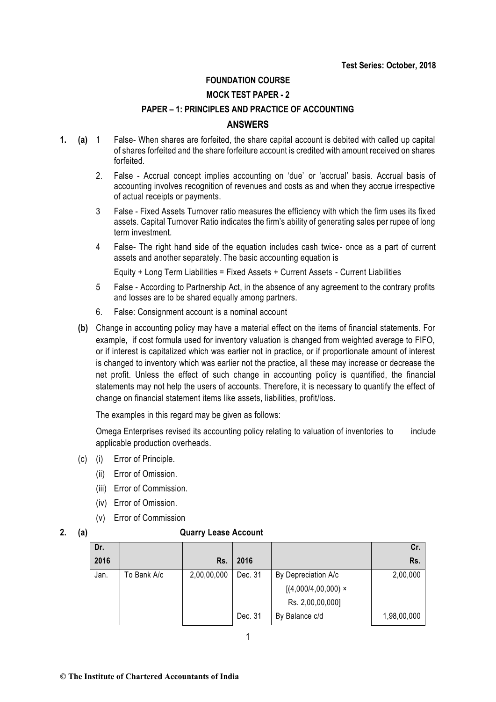### **FOUNDATION COURSE**

### **MOCK TEST PAPER - 2**

## **PAPER – 1: PRINCIPLES AND PRACTICE OF ACCOUNTING**

### **ANSWERS**

- **1. (a)** 1 False- When shares are forfeited, the share capital account is debited with called up capital of shares forfeited and the share forfeiture account is credited with amount received on shares forfeited.
	- 2. False Accrual concept implies accounting on 'due' or 'accrual' basis. Accrual basis of accounting involves recognition of revenues and costs as and when they accrue irrespective of actual receipts or payments.
	- 3 False Fixed Assets Turnover ratio measures the efficiency with which the firm uses its fixed assets. Capital Turnover Ratio indicates the firm's ability of generating sales per rupee of long term investment.
	- 4 False- The right hand side of the equation includes cash twice- once as a part of current assets and another separately. The basic accounting equation is

Equity + Long Term Liabilities = Fixed Assets + Current Assets - Current Liabilities

- 5 False According to Partnership Act, in the absence of any agreement to the contrary profits and losses are to be shared equally among partners.
- 6. False: Consignment account is a nominal account
- **(b)** Change in accounting policy may have a material effect on the items of financial statements. For example, if cost formula used for inventory valuation is changed from weighted average to FIFO, or if interest is capitalized which was earlier not in practice, or if proportionate amount of interest is changed to inventory which was earlier not the practice, all these may increase or decrease the net profit. Unless the effect of such change in accounting policy is quantified, the financial statements may not help the users of accounts. Therefore, it is necessary to quantify the effect of change on financial statement items like assets, liabilities, profit/loss.

The examples in this regard may be given as follows:

Omega Enterprises revised its accounting policy relating to valuation of inventories to include applicable production overheads.

- (c) (i) Error of Principle.
	- (ii) Error of Omission.
	- (iii) Error of Commission.
	- (iv) Error of Omission.
	- (v) Error of Commission

### **2. (a) Quarry Lease Account**

| Dr.  |             |             |         |                       | Cr.         |
|------|-------------|-------------|---------|-----------------------|-------------|
| 2016 |             | Rs.         | 2016    |                       | Rs.         |
| Jan. | To Bank A/c | 2,00,00,000 | Dec. 31 | By Depreciation A/c   | 2,00,000    |
|      |             |             |         | $[(4,000/4,00,000)$ × |             |
|      |             |             |         | Rs. 2,00,00,000]      |             |
|      |             |             | Dec. 31 | By Balance c/d        | 1,98,00,000 |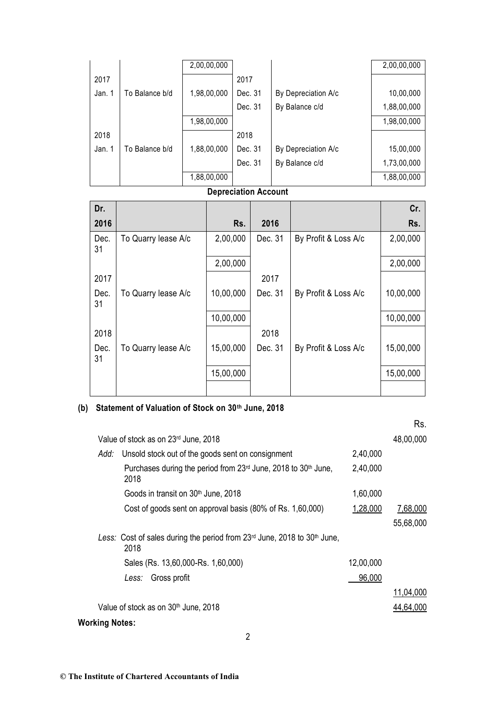|        |                | 2,00,00,000 |         |                     | 2,00,00,000 |
|--------|----------------|-------------|---------|---------------------|-------------|
| 2017   |                |             | 2017    |                     |             |
| Jan. 1 | To Balance b/d | 1,98,00,000 | Dec. 31 | By Depreciation A/c | 10,00,000   |
|        |                |             | Dec. 31 | By Balance c/d      | 1,88,00,000 |
|        |                | 1,98,00,000 |         |                     | 1,98,00,000 |
| 2018   |                |             | 2018    |                     |             |
| Jan. 1 | To Balance b/d | 1,88,00,000 | Dec. 31 | By Depreciation A/c | 15,00,000   |
|        |                |             | Dec. 31 | By Balance c/d      | 1,73,00,000 |
|        |                | 1,88,00,000 |         |                     | 1,88,00,000 |

# **Depreciation Account**

| Dr.        |                     |           |         |                      | Cr.       |
|------------|---------------------|-----------|---------|----------------------|-----------|
| 2016       |                     | Rs.       | 2016    |                      | Rs.       |
| Dec.<br>31 | To Quarry lease A/c | 2,00,000  | Dec. 31 | By Profit & Loss A/c | 2,00,000  |
|            |                     | 2,00,000  |         |                      | 2,00,000  |
| 2017       |                     |           | 2017    |                      |           |
| Dec.<br>31 | To Quarry lease A/c | 10,00,000 | Dec. 31 | By Profit & Loss A/c | 10,00,000 |
|            |                     | 10,00,000 |         |                      | 10,00,000 |
| 2018       |                     |           | 2018    |                      |           |
| Dec.<br>31 | To Quarry lease A/c | 15,00,000 | Dec. 31 | By Profit & Loss A/c | 15,00,000 |
|            |                     | 15,00,000 |         |                      | 15,00,000 |
|            |                     |           |         |                      |           |

# **(b) Statement of Valuation of Stock on 30th June, 2018**

|                       |                                                                                                |           | Rs.       |
|-----------------------|------------------------------------------------------------------------------------------------|-----------|-----------|
|                       | Value of stock as on 23rd June, 2018                                                           |           | 48,00,000 |
| Add:                  | Unsold stock out of the goods sent on consignment                                              | 2,40,000  |           |
|                       | Purchases during the period from 23rd June, 2018 to 30 <sup>th</sup> June,<br>2018             | 2,40,000  |           |
|                       | Goods in transit on 30 <sup>th</sup> June, 2018                                                | 1,60,000  |           |
|                       | Cost of goods sent on approval basis (80% of Rs. 1,60,000)                                     | 1,28,000  | 7,68,000  |
|                       |                                                                                                |           | 55,68,000 |
|                       | Less: Cost of sales during the period from $23rd$ June, 2018 to 30 <sup>th</sup> June,<br>2018 |           |           |
|                       | Sales (Rs. 13,60,000-Rs. 1,60,000)                                                             | 12,00,000 |           |
|                       | Gross profit<br>Less:                                                                          | 96,000    |           |
|                       |                                                                                                |           | 11,04,000 |
|                       | Value of stock as on 30 <sup>th</sup> June, 2018                                               |           | 44,64,000 |
| <b>Working Notes:</b> |                                                                                                |           |           |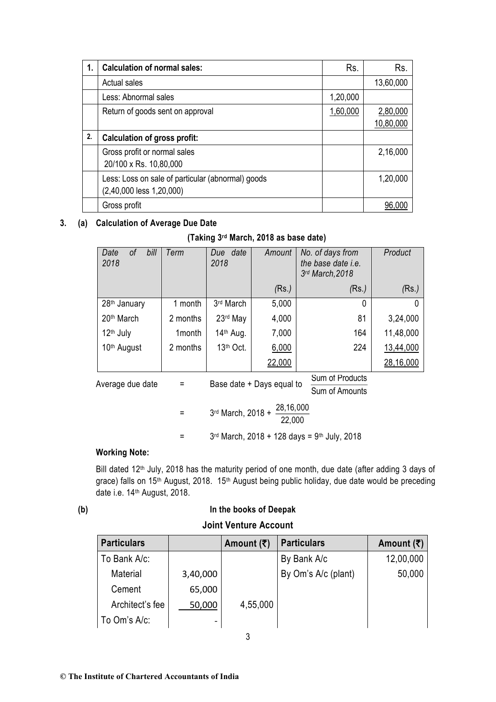| 1. | <b>Calculation of normal sales:</b>                                           | Rs.      | Rs.                   |
|----|-------------------------------------------------------------------------------|----------|-----------------------|
|    | <b>Actual sales</b>                                                           |          | 13,60,000             |
|    | Less: Abnormal sales                                                          | 1,20,000 |                       |
|    | Return of goods sent on approval                                              | 1,60,000 | 2,80,000<br>10,80,000 |
| 2. | <b>Calculation of gross profit:</b>                                           |          |                       |
|    | Gross profit or normal sales<br>20/100 x Rs. 10,80,000                        |          | 2,16,000              |
|    | Less: Loss on sale of particular (abnormal) goods<br>(2,40,000 less 1,20,000) |          | 1,20,000              |
|    | Gross profit                                                                  |          |                       |

## **3. (a) Calculation of Average Due Date**

| (Taking 3rd March, 2018 as base date) |  |  |  |  |  |  |  |
|---------------------------------------|--|--|--|--|--|--|--|
|---------------------------------------|--|--|--|--|--|--|--|

| bill<br>0f<br>Date<br>2018 | Term     | Due date<br>2018                         | Amount                    | No. of days from<br>the base date <i>i.e.</i><br>3rd March, 2018 | Product   |
|----------------------------|----------|------------------------------------------|---------------------------|------------------------------------------------------------------|-----------|
|                            |          |                                          | (Rs.)                     | (Rs.)                                                            | (Rs.)     |
| 28 <sup>th</sup> January   | 1 month  | 3rd March                                | 5,000                     | 0                                                                | $\Omega$  |
| 20 <sup>th</sup> March     | 2 months | 23rd May                                 | 4,000                     | 81                                                               | 3,24,000  |
| 12 <sup>th</sup> July      | 1 month  | 14th Aug.                                | 7,000                     | 164                                                              | 11,48,000 |
| 10 <sup>th</sup> August    | 2 months | 13th Oct.                                | 6,000                     | 224                                                              | 13,44,000 |
|                            |          |                                          | 22,000                    |                                                                  | 28,16,000 |
| Average due date           | $=$      |                                          | Base date + Days equal to | Sum of Products<br>Sum of Amounts                                |           |
|                            |          | 28,16,000<br>3rd March, 2018 +<br>22,000 |                           |                                                                  |           |
|                            |          |                                          |                           | $3^{rd}$ March, 2018 + 128 days = 9 <sup>th</sup> July, 2018     |           |

## **Working Note:**

Bill dated 12<sup>th</sup> July, 2018 has the maturity period of one month, due date (after adding 3 days of grace) falls on 15<sup>th</sup> August, 2018. 15<sup>th</sup> August being public holiday, due date would be preceding date i.e. 14<sup>th</sup> August, 2018.

## **(b) In the books of Deepak**

## **Joint Venture Account**

| <b>Particulars</b> |          | Amount $(\overline{\mathbf{x}})$ | <b>Particulars</b>  | Amount $(\overline{\mathbf{z}})$ |
|--------------------|----------|----------------------------------|---------------------|----------------------------------|
| To Bank A/c:       |          |                                  | By Bank A/c         | 12,00,000                        |
| Material           | 3,40,000 |                                  | By Om's A/c (plant) | 50,000                           |
| Cement             | 65,000   |                                  |                     |                                  |
| Architect's fee    | 50,000   | 4,55,000                         |                     |                                  |
| To Om's A/c:       |          |                                  |                     |                                  |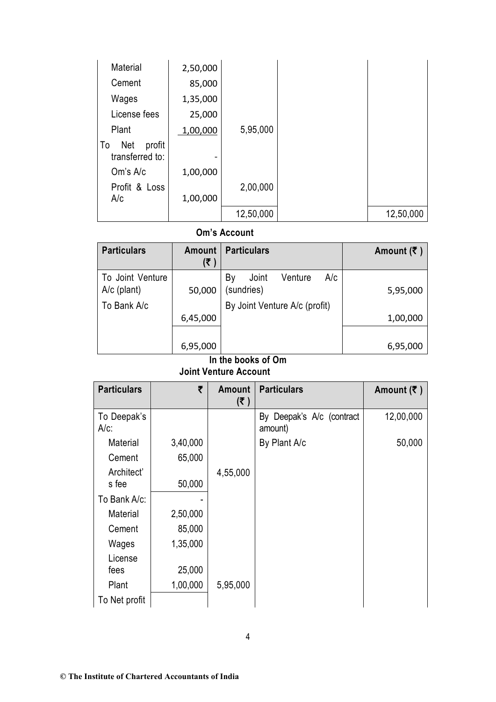| Material                               | 2,50,000 |           |           |
|----------------------------------------|----------|-----------|-----------|
| Cement                                 | 85,000   |           |           |
| Wages                                  | 1,35,000 |           |           |
| License fees                           | 25,000   |           |           |
| Plant                                  | 1,00,000 | 5,95,000  |           |
| profit<br>Net<br>To<br>transferred to: |          |           |           |
| Om's A/c                               | 1,00,000 |           |           |
| Profit & Loss<br>A/c                   | 1,00,000 | 2,00,000  |           |
|                                        |          | 12,50,000 | 12,50,000 |

## **Om's Account**

| <b>Particulars</b>                | <b>Amount</b><br>(₹) | <b>Particulars</b>                          | Amount $(\bar{\tau})$ |
|-----------------------------------|----------------------|---------------------------------------------|-----------------------|
| To Joint Venture<br>$A/c$ (plant) | 50,000               | A/c<br>Venture<br>By<br>Joint<br>(sundries) | 5,95,000              |
| To Bank A/c                       |                      | By Joint Venture A/c (profit)               |                       |
|                                   | 6,45,000             |                                             | 1,00,000              |
|                                   |                      |                                             |                       |
|                                   | 6,95,000             | ومنتك فالمتحمل والمناسب                     | 6,95,000              |

### **In the books of Om Joint Venture Account**

| <b>Particulars</b>     | ₹        | <b>Amount</b><br>(5) | <b>Particulars</b>                   | Amount $(\bar{\tau})$ |
|------------------------|----------|----------------------|--------------------------------------|-----------------------|
| To Deepak's<br>$A/c$ : |          |                      | By Deepak's A/c (contract<br>amount) | 12,00,000             |
| Material               | 3,40,000 |                      | By Plant A/c                         | 50,000                |
| Cement                 | 65,000   |                      |                                      |                       |
| Architect'             |          | 4,55,000             |                                      |                       |
| s fee                  | 50,000   |                      |                                      |                       |
| To Bank A/c:           |          |                      |                                      |                       |
| Material               | 2,50,000 |                      |                                      |                       |
| Cement                 | 85,000   |                      |                                      |                       |
| Wages                  | 1,35,000 |                      |                                      |                       |
| License                |          |                      |                                      |                       |
| fees                   | 25,000   |                      |                                      |                       |
| Plant                  | 1,00,000 | 5,95,000             |                                      |                       |
| To Net profit          |          |                      |                                      |                       |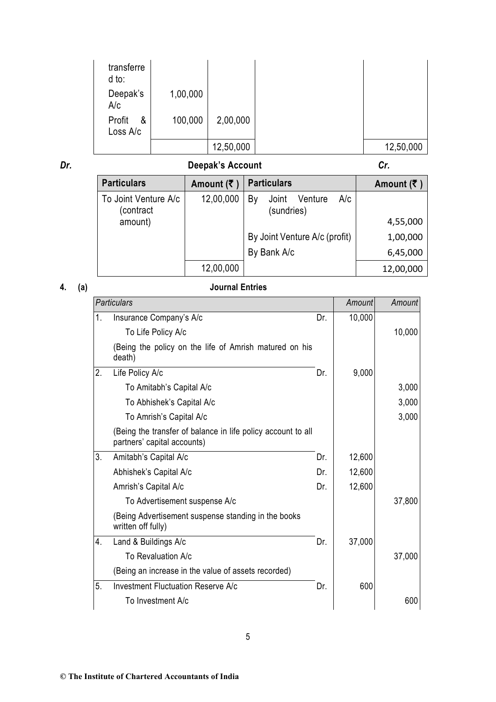| transferre<br>d to:     |          |           |           |
|-------------------------|----------|-----------|-----------|
| Deepak's<br>A/c         | 1,00,000 |           |           |
| Profit<br>&<br>Loss A/c | 100,000  | 2,00,000  |           |
|                         |          | 12,50,000 | 12,50,000 |

## *Dr.* **Deepak's Account** *Cr.*

**Particulars Amount (₹ ) Particulars Amount (₹ ) Amount (₹ )** To Joint Venture A/c (contract amount) 12,00,000 By Joint Venture A/c (sundries) 4,55,000 By Joint Venture A/c (profit) 1,00,000 By Bank A/c 6,45,000 12,00,000 12,00,000

## **4. (a) Journal Entries**

|    | <b>Particulars</b>                                                                          |     | Amount | Amount |
|----|---------------------------------------------------------------------------------------------|-----|--------|--------|
| 1. | Insurance Company's A/c                                                                     | Dr. | 10,000 |        |
|    | To Life Policy A/c                                                                          |     |        | 10,000 |
|    | (Being the policy on the life of Amrish matured on his<br>death)                            |     |        |        |
| 2. | Life Policy A/c                                                                             | Dr. | 9,000  |        |
|    | To Amitabh's Capital A/c                                                                    |     |        | 3,000  |
|    | To Abhishek's Capital A/c                                                                   |     |        | 3,000  |
|    | To Amrish's Capital A/c                                                                     |     |        | 3,000  |
|    | (Being the transfer of balance in life policy account to all<br>partners' capital accounts) |     |        |        |
| 3. | Amitabh's Capital A/c                                                                       | Dr. | 12,600 |        |
|    | Abhishek's Capital A/c                                                                      | Dr. | 12,600 |        |
|    | Amrish's Capital A/c                                                                        | Dr. | 12,600 |        |
|    | To Advertisement suspense A/c                                                               |     |        | 37,800 |
|    | (Being Advertisement suspense standing in the books<br>written off fully)                   |     |        |        |
| 4. | Land & Buildings A/c                                                                        | Dr. | 37,000 |        |
|    | To Revaluation A/c                                                                          |     |        | 37,000 |
|    | (Being an increase in the value of assets recorded)                                         |     |        |        |
| 5. | <b>Investment Fluctuation Reserve A/c</b>                                                   | Dr. | 600    |        |
|    | To Investment A/c                                                                           |     |        | 600    |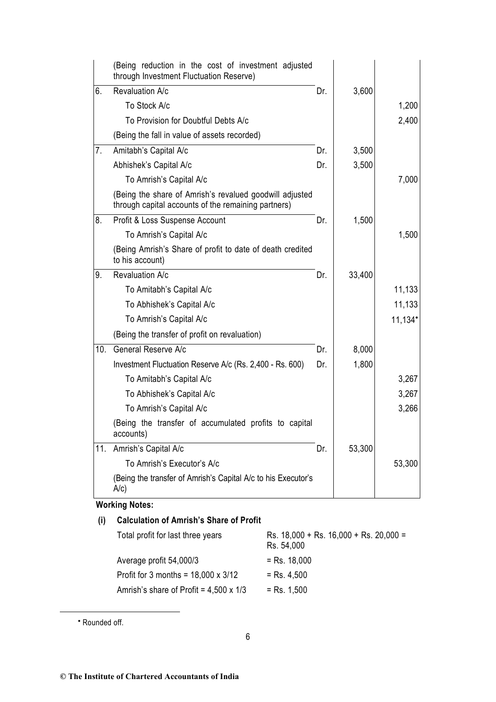| (Being reduction in the cost of investment adjusted<br>through Investment Fluctuation Reserve)                 |     |        |                       |
|----------------------------------------------------------------------------------------------------------------|-----|--------|-----------------------|
| Revaluation A/c                                                                                                | Dr. | 3,600  |                       |
| To Stock A/c                                                                                                   |     |        | 1,200                 |
| To Provision for Doubtful Debts A/c                                                                            |     |        | 2,400                 |
| (Being the fall in value of assets recorded)                                                                   |     |        |                       |
| Amitabh's Capital A/c                                                                                          | Dr. | 3,500  |                       |
| Abhishek's Capital A/c                                                                                         | Dr. | 3,500  |                       |
| To Amrish's Capital A/c                                                                                        |     |        | 7,000                 |
| (Being the share of Amrish's revalued goodwill adjusted<br>through capital accounts of the remaining partners) |     |        |                       |
| Profit & Loss Suspense Account                                                                                 | Dr. | 1,500  |                       |
| To Amrish's Capital A/c                                                                                        |     |        | 1,500                 |
| (Being Amrish's Share of profit to date of death credited<br>to his account)                                   |     |        |                       |
| Revaluation A/c                                                                                                | Dr. | 33,400 |                       |
| To Amitabh's Capital A/c                                                                                       |     |        | 11,133                |
| To Abhishek's Capital A/c                                                                                      |     |        | 11,133                |
| To Amrish's Capital A/c                                                                                        |     |        | $11,134$ <sup>*</sup> |
| (Being the transfer of profit on revaluation)                                                                  |     |        |                       |
| General Reserve A/c                                                                                            | Dr. | 8,000  |                       |
| Investment Fluctuation Reserve A/c (Rs. 2,400 - Rs. 600)                                                       | Dr. | 1,800  |                       |
| To Amitabh's Capital A/c                                                                                       |     |        | 3,267                 |
| To Abhishek's Capital A/c                                                                                      |     |        | 3,267                 |
| To Amrish's Capital A/c                                                                                        |     |        | 3,266                 |
| (Being the transfer of accumulated profits to capital<br>accounts)                                             |     |        |                       |
| Amrish's Capital A/c                                                                                           | Dr. | 53,300 |                       |
| To Amrish's Executor's A/c                                                                                     |     |        | 53,300                |
| (Being the transfer of Amrish's Capital A/c to his Executor's<br>A/c)                                          |     |        |                       |
|                                                                                                                |     |        |                       |

## **Working Notes:**

| (i) | <b>Calculation of Amrish's Share of Profit</b> |                                                            |  |  |  |  |
|-----|------------------------------------------------|------------------------------------------------------------|--|--|--|--|
|     | Total profit for last three years              | Rs. $18,000 +$ Rs. $16,000 +$ Rs. $20,000 =$<br>Rs. 54,000 |  |  |  |  |
|     | Average profit 54,000/3                        | $=$ Rs. 18,000                                             |  |  |  |  |
|     | Profit for 3 months = $18,000 \times 3/12$     | $=$ Rs. 4,500                                              |  |  |  |  |
|     | Amrish's share of Profit = $4,500 \times 1/3$  | $=$ Rs. 1,500                                              |  |  |  |  |
|     |                                                |                                                            |  |  |  |  |

• Rounded off.

1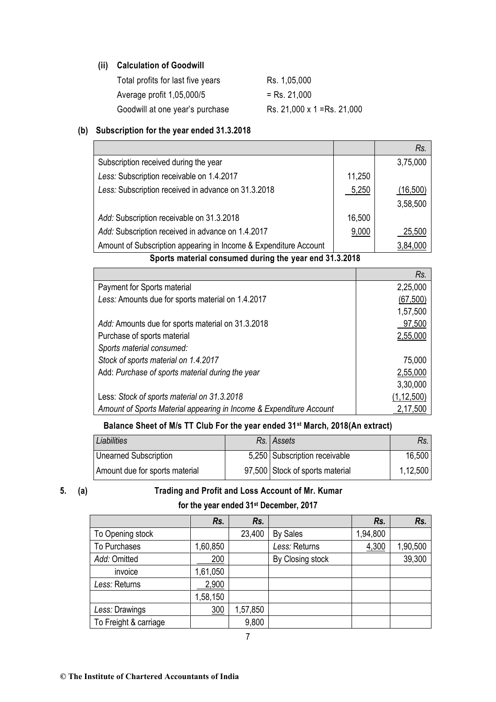## **(ii) Calculation of Goodwill**

| Total profits for last five years | Rs. 1,05,000                |
|-----------------------------------|-----------------------------|
| Average profit 1,05,000/5         | $=$ Rs. 21,000              |
| Goodwill at one year's purchase   | Rs. 21,000 x 1 = Rs. 21,000 |

## **(b) Subscription for the year ended 31.3.2018**

|                                                                                                            |        | Rs.      |
|------------------------------------------------------------------------------------------------------------|--------|----------|
| Subscription received during the year                                                                      |        | 3,75,000 |
| Less: Subscription receivable on 1.4.2017                                                                  | 11,250 |          |
| Less: Subscription received in advance on 31.3.2018                                                        | 5,250  | (16,500) |
|                                                                                                            |        | 3,58,500 |
| Add: Subscription receivable on 31.3.2018                                                                  | 16,500 |          |
| Add: Subscription received in advance on 1.4.2017                                                          | 9,000  | 25,500   |
| Amount of Subscription appearing in Income & Expenditure Account                                           |        | 3,84,000 |
| $\mathbf{0}$ and the contracted to the contracted detection of the contracted $\mathbf{0}$ 4. $\mathbf{0}$ |        |          |

**Sports material consumed during the year end 31.3.2018**

|                                                                     | Rs.          |
|---------------------------------------------------------------------|--------------|
| Payment for Sports material                                         | 2,25,000     |
| Less: Amounts due for sports material on 1.4.2017                   | (67, 500)    |
|                                                                     | 1,57,500     |
| Add: Amounts due for sports material on 31.3.2018                   | 97,500       |
| Purchase of sports material                                         | 2,55,000     |
| Sports material consumed:                                           |              |
| Stock of sports material on 1.4.2017                                | 75,000       |
| Add: Purchase of sports material during the year                    | 2,55,000     |
|                                                                     | 3,30,000     |
| Less: Stock of sports material on 31.3.2018                         | (1, 12, 500) |
| Amount of Sports Material appearing in Income & Expenditure Account | 2,17,500     |

## **Balance Sheet of M/s TT Club For the year ended 31st March, 2018(An extract)**

| Liabilities                    | Rs. Assets                      | Rs.      |
|--------------------------------|---------------------------------|----------|
| Unearned Subscription          | 5,250 Subscription receivable   | 16,500   |
| Amount due for sports material | 97,500 Stock of sports material | 1,12,500 |

## **5. (a) Trading and Profit and Loss Account of Mr. Kumar**

## **for the year ended 31st December, 2017**

|                       | Rs.      | Rs.      |                  | Rs.      | Rs.      |
|-----------------------|----------|----------|------------------|----------|----------|
| To Opening stock      |          | 23,400   | <b>By Sales</b>  | 1,94,800 |          |
| To Purchases          | 1,60,850 |          | Less: Returns    | 4,300    | 1,90,500 |
| Add: Omitted          | 200      |          | By Closing stock |          | 39,300   |
| invoice               | 1,61,050 |          |                  |          |          |
| Less: Returns         | 2,900    |          |                  |          |          |
|                       | 1,58,150 |          |                  |          |          |
| Less: Drawings        | 300      | 1,57,850 |                  |          |          |
| To Freight & carriage |          | 9,800    |                  |          |          |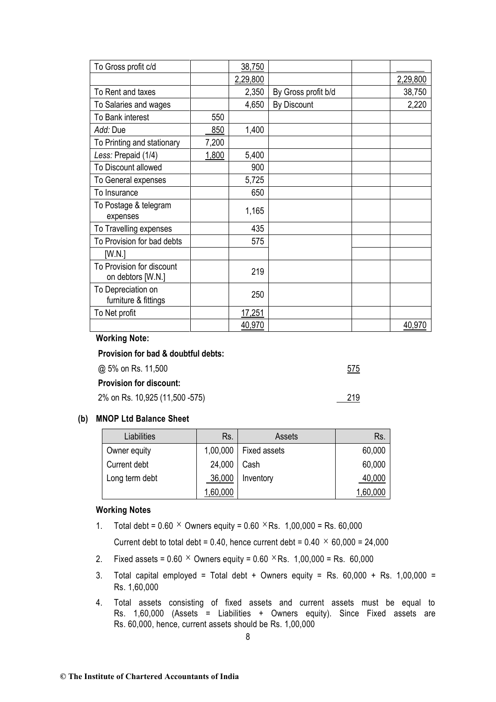|                                                |       | 2,29,800 |                     | 2,29,800 |
|------------------------------------------------|-------|----------|---------------------|----------|
| To Rent and taxes                              |       | 2,350    | By Gross profit b/d | 38,750   |
| To Salaries and wages                          |       | 4,650    | By Discount         | 2,220    |
| To Bank interest                               | 550   |          |                     |          |
| Add: Due                                       | 850   | 1,400    |                     |          |
| To Printing and stationary                     | 7,200 |          |                     |          |
| Less: Prepaid (1/4)                            | 1,800 | 5,400    |                     |          |
| To Discount allowed                            |       | 900      |                     |          |
| To General expenses                            |       | 5,725    |                     |          |
| To Insurance                                   |       | 650      |                     |          |
| To Postage & telegram<br>expenses              |       | 1,165    |                     |          |
| To Travelling expenses                         |       | 435      |                     |          |
| To Provision for bad debts                     |       | 575      |                     |          |
| [W.N.]                                         |       |          |                     |          |
| To Provision for discount<br>on debtors [W.N.] |       | 219      |                     |          |
| To Depreciation on<br>furniture & fittings     |       | 250      |                     |          |
| To Net profit                                  |       | 17,251   |                     |          |
|                                                |       | 40,970   |                     | 40,970   |
| <b>Working Note:</b>                           |       |          |                     |          |
| Provision for bad & doubtful debts:            |       |          |                     |          |
| @ 5% on Rs. 11,500                             |       |          |                     | 575      |

### **Provision for discount:**

2% on Rs. 10,925 (11,500 -575)

| To Gross profit c/d | 38,750 |

## **(b) MNOP Ltd Balance Sheet**

| Liabilities    | Rs.      | Assets              | Rs.      |
|----------------|----------|---------------------|----------|
| Owner equity   | 1,00,000 | <b>Fixed assets</b> | 60,000   |
| Current debt   | 24,000   | Cash                | 60,000   |
| Long term debt | 36,000   | Inventory           | 40,000   |
|                | 1,60,000 |                     | 1,60,000 |

219

## **Working Notes**

1. Total debt =  $0.60 \times$  Owners equity =  $0.60 \times$ Rs. 1,00,000 = Rs. 60,000

Current debt to total debt = 0.40, hence current debt =  $0.40 \times 60,000 = 24,000$ 

- 2. Fixed assets =  $0.60 \times$  Owners equity =  $0.60 \times$ Rs. 1,00,000 = Rs. 60,000
- 3. Total capital employed = Total debt + Owners equity = Rs.  $60,000 + Rs. 1,00,000 =$ Rs. 1,60,000
- 4. Total assets consisting of fixed assets and current assets must be equal to Rs. 1,60,000 (Assets = Liabilities + Owners equity). Since Fixed assets are Rs. 60,000, hence, current assets should be Rs. 1,00,000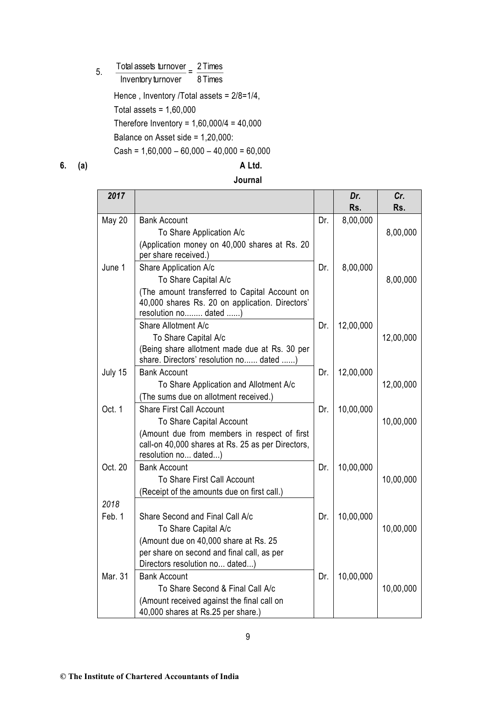5. Total assets turnover a 2 Times

Inventory turnover  $=\frac{2 \text{ miles}}{8 \text{ Times}}$ 

Hence , Inventory /Total assets = 2/8=1/4,

Total assets =  $1,60,000$ 

Therefore Inventory = 1,60,000/4 = 40,000

Balance on Asset side = 1,20,000:

 $Cash = 1,60,000 - 60,000 - 40,000 = 60,000$ 

## **6. (a) A Ltd.**

| 2017          |                                                                                                                           |     | Dr.<br>Rs. | Cr.<br>Rs. |
|---------------|---------------------------------------------------------------------------------------------------------------------------|-----|------------|------------|
| <b>May 20</b> | <b>Bank Account</b>                                                                                                       | Dr. | 8,00,000   |            |
|               | To Share Application A/c                                                                                                  |     |            | 8,00,000   |
|               | (Application money on 40,000 shares at Rs. 20<br>per share received.)                                                     |     |            |            |
| June 1        | Share Application A/c                                                                                                     | Dr. | 8,00,000   |            |
|               | To Share Capital A/c                                                                                                      |     |            | 8,00,000   |
|               | (The amount transferred to Capital Account on<br>40,000 shares Rs. 20 on application. Directors'<br>resolution no dated ) |     |            |            |
|               | Share Allotment A/c                                                                                                       | Dr. | 12,00,000  |            |
|               | To Share Capital A/c                                                                                                      |     |            | 12,00,000  |
|               | (Being share allotment made due at Rs. 30 per<br>share. Directors' resolution no dated )                                  |     |            |            |
| July 15       | <b>Bank Account</b>                                                                                                       | Dr. | 12,00,000  |            |
|               | To Share Application and Allotment A/c                                                                                    |     |            | 12,00,000  |
|               | (The sums due on allotment received.)                                                                                     |     |            |            |
| Oct. 1        | <b>Share First Call Account</b>                                                                                           | Dr. | 10,00,000  |            |
|               | To Share Capital Account                                                                                                  |     |            | 10,00,000  |
|               | (Amount due from members in respect of first<br>call-on 40,000 shares at Rs. 25 as per Directors,<br>resolution no dated) |     |            |            |
| Oct. 20       | <b>Bank Account</b>                                                                                                       | Dr. | 10,00,000  |            |
|               | To Share First Call Account                                                                                               |     |            | 10,00,000  |
|               | (Receipt of the amounts due on first call.)                                                                               |     |            |            |
| 2018          |                                                                                                                           |     |            |            |
| Feb. 1        | Share Second and Final Call A/c                                                                                           | Dr. | 10,00,000  |            |
|               | To Share Capital A/c                                                                                                      |     |            | 10,00,000  |
|               | (Amount due on 40,000 share at Rs. 25                                                                                     |     |            |            |
|               | per share on second and final call, as per                                                                                |     |            |            |
|               | Directors resolution no dated)                                                                                            |     |            |            |
| Mar. 31       | <b>Bank Account</b>                                                                                                       | Dr. | 10,00,000  |            |
|               | To Share Second & Final Call A/c                                                                                          |     |            | 10,00,000  |
|               | (Amount received against the final call on<br>40,000 shares at Rs.25 per share.)                                          |     |            |            |